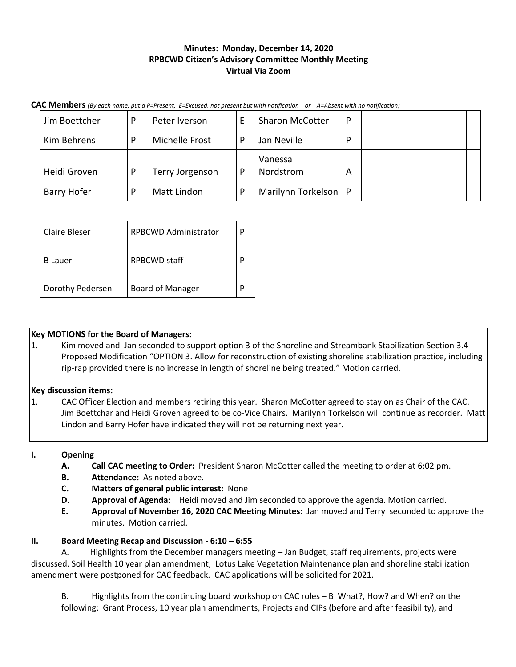# **Minutes: Monday, December 14, 2020 RPBCWD Citizen's Advisory Committee Monthly Meeting Virtual Via Zoom**

| Jim Boettcher      | P | Peter Iverson   | E | <b>Sharon McCotter</b> | P |  |
|--------------------|---|-----------------|---|------------------------|---|--|
| Kim Behrens        | D | Michelle Frost  | P | Jan Neville            | P |  |
| Heidi Groven       | P | Terry Jorgenson | P | Vanessa<br>Nordstrom   | А |  |
| <b>Barry Hofer</b> | P | Matt Lindon     | P | Marilynn Torkelson   P |   |  |

**CAC Members** *(By each name, put a P=Present, E=Excused, not present but with notification or A=Absent with no notification)*

| Claire Bleser    | <b>RPBCWD Administrator</b> |   |  |
|------------------|-----------------------------|---|--|
| <b>B</b> Lauer   | <b>RPBCWD</b> staff         |   |  |
| Dorothy Pedersen | <b>Board of Manager</b>     | D |  |

### **Key MOTIONS for the Board of Managers:**

1. Kim moved and Jan seconded to support option 3 of the Shoreline and Streambank Stabilization Section 3.4 Proposed Modification "OPTION 3. Allow for reconstruction of existing shoreline stabilization practice, including rip-rap provided there is no increase in length of shoreline being treated." Motion carried.

#### **Key discussion items:**

1. CAC Officer Election and members retiring this year. Sharon McCotter agreed to stay on as Chair of the CAC. Jim Boettchar and Heidi Groven agreed to be co-Vice Chairs. Marilynn Torkelson will continue as recorder. Matt Lindon and Barry Hofer have indicated they will not be returning next year.

#### **I. Opening**

- **A. Call CAC meeting to Order:** President Sharon McCotter called the meeting to order at 6:02 pm.
- **B. Attendance:** As noted above.
- **C. Matters of general public interest:** None
- **D. Approval of Agenda:** Heidi moved and Jim seconded to approve the agenda. Motion carried.
- **E. Approval of November 16, 2020 CAC Meeting Minutes**: Jan moved and Terry seconded to approve the minutes. Motion carried.

#### **II. Board Meeting Recap and Discussion - 6:10 – 6:55**

A. Highlights from the December managers meeting – Jan Budget, staff requirements, projects were discussed. Soil Health 10 year plan amendment, Lotus Lake Vegetation Maintenance plan and shoreline stabilization amendment were postponed for CAC feedback. CAC applications will be solicited for 2021.

B. Highlights from the continuing board workshop on CAC roles – B What?, How? and When? on the following: Grant Process, 10 year plan amendments, Projects and CIPs (before and after feasibility), and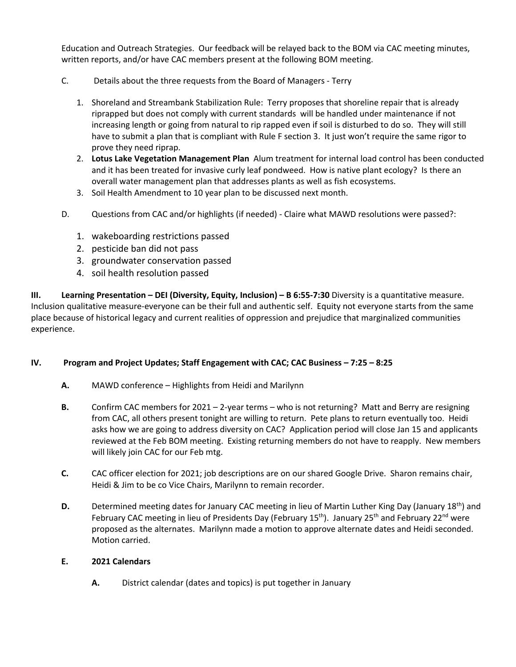Education and Outreach Strategies. Our feedback will be relayed back to the BOM via CAC meeting minutes, written reports, and/or have CAC members present at the following BOM meeting.

- C. Details about the three requests from the Board of Managers Terry
	- 1. Shoreland and Streambank Stabilization Rule: Terry proposes that shoreline repair that is already riprapped but does not comply with current standards will be handled under maintenance if not increasing length or going from natural to rip rapped even if soil is disturbed to do so. They will still have to submit a plan that is compliant with Rule F section 3. It just won't require the same rigor to prove they need riprap.
	- 2. **Lotus Lake Vegetation Management Plan** Alum treatment for internal load control has been conducted and it has been treated for invasive curly leaf pondweed. How is native plant ecology? Is there an overall water management plan that addresses plants as well as fish ecosystems.
	- 3. Soil Health Amendment to 10 year plan to be discussed next month.
- D. Questions from CAC and/or highlights (if needed) Claire what MAWD resolutions were passed?:
	- 1. wakeboarding restrictions passed
	- 2. pesticide ban did not pass
	- 3. groundwater conservation passed
	- 4. soil health resolution passed

**III. Learning Presentation – DEI (Diversity, Equity, Inclusion) – B 6:55-7:30** Diversity is a quantitative measure. Inclusion qualitative measure-everyone can be their full and authentic self. Equity not everyone starts from the same place because of historical legacy and current realities of oppression and prejudice that marginalized communities experience.

## **IV. Program and Project Updates; Staff Engagement with CAC; CAC Business – 7:25 – 8:25**

- **A.** MAWD conference Highlights from Heidi and Marilynn
- **B.** Confirm CAC members for 2021 2-year terms who is not returning? Matt and Berry are resigning from CAC, all others present tonight are willing to return. Pete plans to return eventually too. Heidi asks how we are going to address diversity on CAC? Application period will close Jan 15 and applicants reviewed at the Feb BOM meeting. Existing returning members do not have to reapply. New members will likely join CAC for our Feb mtg.
- **C.** CAC officer election for 2021; job descriptions are on our shared Google Drive. Sharon remains chair, Heidi & Jim to be co Vice Chairs, Marilynn to remain recorder.
- **D.** Determined meeting dates for January CAC meeting in lieu of Martin Luther King Day (January 18<sup>th</sup>) and February CAC meeting in lieu of Presidents Day (February  $15<sup>th</sup>$ ). January 25<sup>th</sup> and February 22<sup>nd</sup> were proposed as the alternates. Marilynn made a motion to approve alternate dates and Heidi seconded. Motion carried.

## **E. 2021 Calendars**

**A.** District calendar (dates and topics) is put together in January